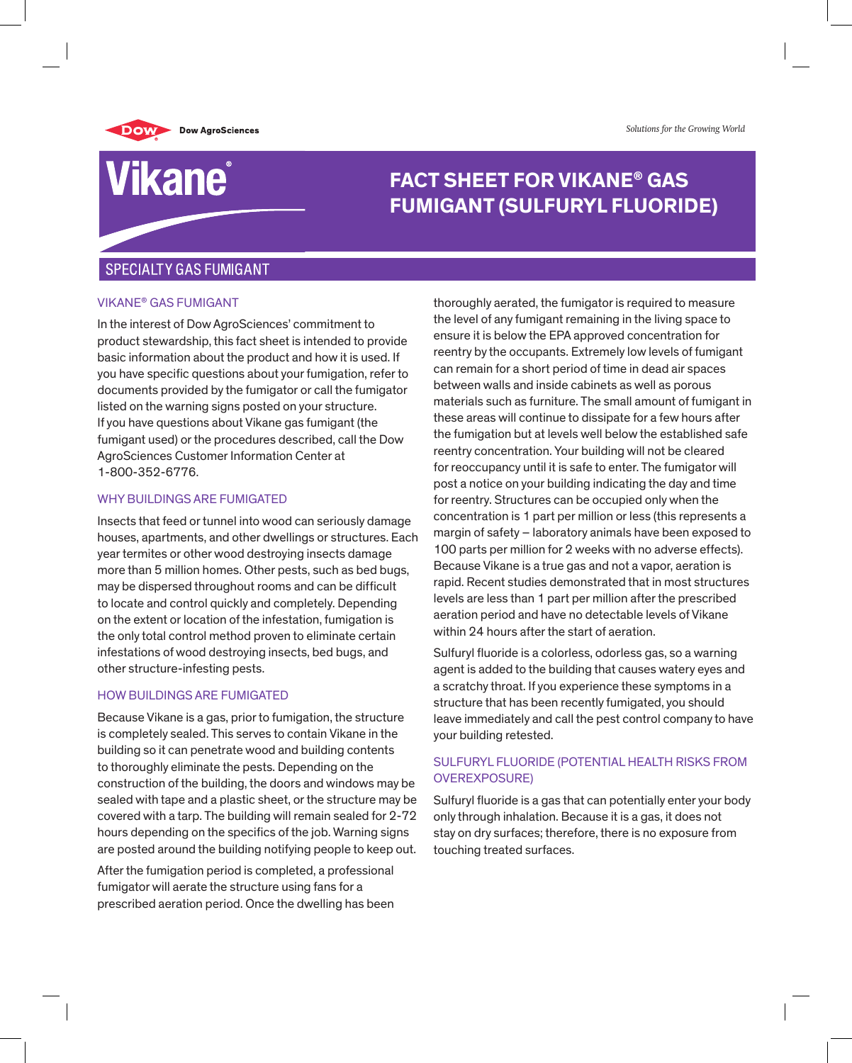*Solutions for the Growing World*



# Vikane®

# **FACT SHEET FOR VIKANE® GAS FUMIGANT (SULFURYL FLUORIDE)**

## **SPECIALTY GAS FUMIGANT**

#### vikane® gas fumigant

In the interest of Dow AgroSciences' commitment to product stewardship, this fact sheet is intended to provide basic information about the product and how it is used. If you have specific questions about your fumigation, refer to documents provided by the fumigator or call the fumigator listed on the warning signs posted on your structure. If you have questions about Vikane gas fumigant (the fumigant used) or the procedures described, call the Dow AgroSciences Customer Information Center at 1-800-352-6776.

#### WHY BUILDINGS ARE FUMIGATED

Insects that feed or tunnel into wood can seriously damage houses, apartments, and other dwellings or structures. Each year termites or other wood destroying insects damage more than 5 million homes. Other pests, such as bed bugs, may be dispersed throughout rooms and can be difficult to locate and control quickly and completely. Depending on the extent or location of the infestation, fumigation is the only total control method proven to eliminate certain infestations of wood destroying insects, bed bugs, and other structure-infesting pests.

#### HOW BUILDINGS ARE FUMIGATED

Because Vikane is a gas, prior to fumigation, the structure is completely sealed. This serves to contain Vikane in the building so it can penetrate wood and building contents to thoroughly eliminate the pests. Depending on the construction of the building, the doors and windows may be sealed with tape and a plastic sheet, or the structure may be covered with a tarp. The building will remain sealed for 2-72 hours depending on the specifics of the job. Warning signs are posted around the building notifying people to keep out.

After the fumigation period is completed, a professional fumigator will aerate the structure using fans for a prescribed aeration period. Once the dwelling has been

thoroughly aerated, the fumigator is required to measure the level of any fumigant remaining in the living space to ensure it is below the EPA approved concentration for reentry by the occupants. Extremely low levels of fumigant can remain for a short period of time in dead air spaces between walls and inside cabinets as well as porous materials such as furniture. The small amount of fumigant in these areas will continue to dissipate for a few hours after the fumigation but at levels well below the established safe reentry concentration. Your building will not be cleared for reoccupancy until it is safe to enter. The fumigator will post a notice on your building indicating the day and time for reentry. Structures can be occupied only when the concentration is 1 part per million or less (this represents a margin of safety – laboratory animals have been exposed to 100 parts per million for 2 weeks with no adverse effects). Because Vikane is a true gas and not a vapor, aeration is rapid. Recent studies demonstrated that in most structures levels are less than 1 part per million after the prescribed aeration period and have no detectable levels of Vikane within 24 hours after the start of aeration.

Sulfuryl fluoride is a colorless, odorless gas, so a warning agent is added to the building that causes watery eyes and a scratchy throat. If you experience these symptoms in a structure that has been recently fumigated, you should leave immediately and call the pest control company to have your building retested.

#### SULFURYL FLUORIDE (POTENTIAL HEALTH RISKS FROM OVEREXPOSURE)

Sulfuryl fluoride is a gas that can potentially enter your body only through inhalation. Because it is a gas, it does not stay on dry surfaces; therefore, there is no exposure from touching treated surfaces.